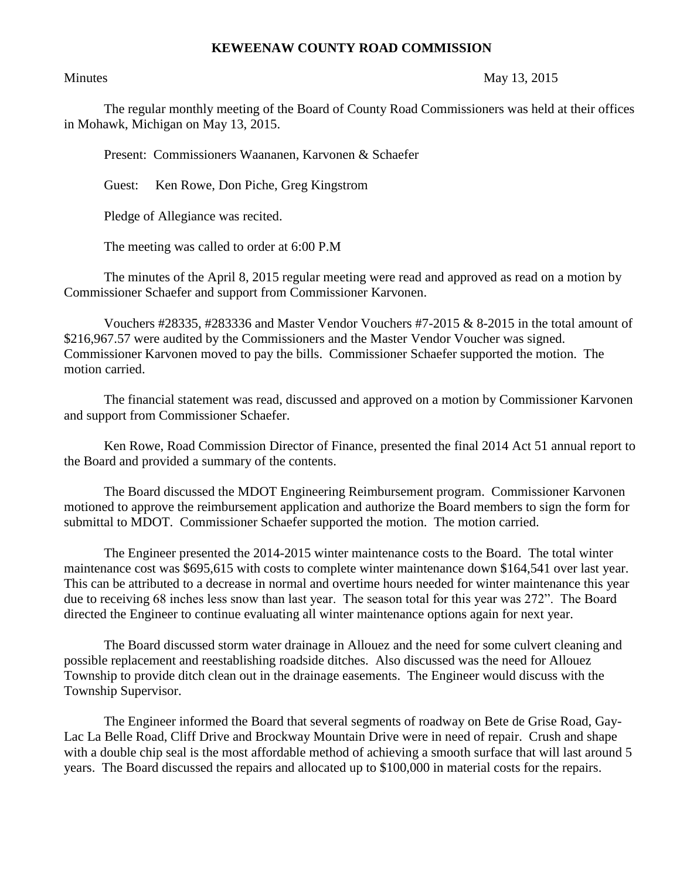## **KEWEENAW COUNTY ROAD COMMISSION**

## Minutes May 13, 2015

The regular monthly meeting of the Board of County Road Commissioners was held at their offices in Mohawk, Michigan on May 13, 2015.

Present: Commissioners Waananen, Karvonen & Schaefer

Guest: Ken Rowe, Don Piche, Greg Kingstrom

Pledge of Allegiance was recited.

The meeting was called to order at 6:00 P.M

The minutes of the April 8, 2015 regular meeting were read and approved as read on a motion by Commissioner Schaefer and support from Commissioner Karvonen.

Vouchers #28335, #283336 and Master Vendor Vouchers #7-2015 & 8-2015 in the total amount of \$216,967.57 were audited by the Commissioners and the Master Vendor Voucher was signed. Commissioner Karvonen moved to pay the bills. Commissioner Schaefer supported the motion. The motion carried.

The financial statement was read, discussed and approved on a motion by Commissioner Karvonen and support from Commissioner Schaefer.

Ken Rowe, Road Commission Director of Finance, presented the final 2014 Act 51 annual report to the Board and provided a summary of the contents.

The Board discussed the MDOT Engineering Reimbursement program. Commissioner Karvonen motioned to approve the reimbursement application and authorize the Board members to sign the form for submittal to MDOT. Commissioner Schaefer supported the motion. The motion carried.

The Engineer presented the 2014-2015 winter maintenance costs to the Board. The total winter maintenance cost was \$695,615 with costs to complete winter maintenance down \$164,541 over last year. This can be attributed to a decrease in normal and overtime hours needed for winter maintenance this year due to receiving 68 inches less snow than last year. The season total for this year was 272". The Board directed the Engineer to continue evaluating all winter maintenance options again for next year.

The Board discussed storm water drainage in Allouez and the need for some culvert cleaning and possible replacement and reestablishing roadside ditches. Also discussed was the need for Allouez Township to provide ditch clean out in the drainage easements. The Engineer would discuss with the Township Supervisor.

The Engineer informed the Board that several segments of roadway on Bete de Grise Road, Gay-Lac La Belle Road, Cliff Drive and Brockway Mountain Drive were in need of repair. Crush and shape with a double chip seal is the most affordable method of achieving a smooth surface that will last around 5 years. The Board discussed the repairs and allocated up to \$100,000 in material costs for the repairs.